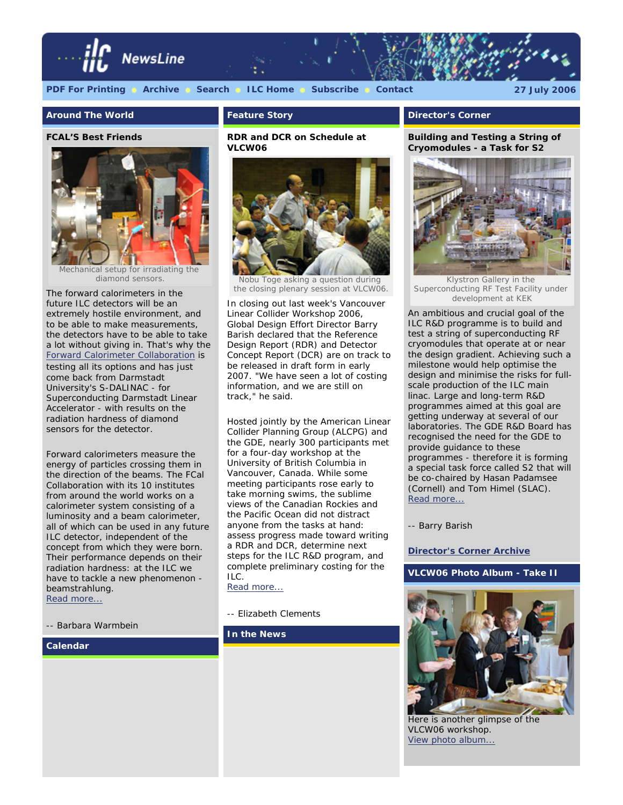

## **[PDF For Printing](http://www.linearcollider.org/newsline/archive/2006/20060727.pdf) [Archive](http://www.linearcollider.org/newsline/archive/index.html) [Search](http://www.linearcollider.org/cms/?pid=1000263) [ILC Home](http://www.linearcollider.org/) [Subscribe](http://www.linearcollider.org/cms/?pid=1000041) [Contact](mailto:newsline@ilcgde.org) 27 July 2006**

## **Around The World**

#### **FCAL'S Best Friends**



diamond sensors.

The forward calorimeters in the future ILC detectors will be an extremely hostile environment, and to be able to make measurements, the detectors have to be able to take a lot without giving in. That's why the [Forward Calorimeter Collaboration](http://www-zeuthen.desy.de/ILC/fcal/) is testing all its options and has just come back from Darmstadt University's S-DALINAC - for Superconducting Darmstadt Linear Accelerator - with results on the radiation hardness of diamond sensors for the detector.

Forward calorimeters measure the energy of particles crossing them in the direction of the beams. The FCal Collaboration with its 10 institutes from around the world works on a calorimeter system consisting of a luminosity and a beam calorimeter, all of which can be used in any future ILC detector, independent of the concept from which they were born. Their performance depends on their radiation hardness: at the ILC we have to tackle a new phenomenon beamstrahlung. [Read more...](http://www.linearcollider.org/newsline/readmore_20060727_atw.html)

*-- Barbara Warmbein* 

## **Calendar**

## **Feature Story**

## **RDR and DCR on Schedule at VLCW06**



Nobu Toge asking a question during the closing plenary session at VLCW06.

In closing out last week's Vancouver Linear Collider Workshop 2006, Global Design Effort Director Barry Barish declared that the Reference Design Report (RDR) and Detector Concept Report (DCR) are on track to be released in draft form in early 2007. "We have seen a lot of costing information, and we are still on track," he said.

Hosted jointly by the American Linear Collider Planning Group (ALCPG) and the GDE, nearly 300 participants met for a four-day workshop at the University of British Columbia in Vancouver, Canada. While some meeting participants rose early to take morning swims, the sublime views of the Canadian Rockies and the Pacific Ocean did not distract anyone from the tasks at hand: assess progress made toward writing a RDR and DCR, determine next steps for the ILC R&D program, and complete preliminary costing for the ILC.

[Read more...](http://www.linearcollider.org/newsline/readmore_20060727_feature1.html)

## *-- Elizabeth Clements*

**In the News**

## **Director's Corner**

**Building and Testing a String of Cryomodules - a Task for S2** 



Klystron Gallery in the Superconducting RF Test Facility under development at KEK

An ambitious and crucial goal of the ILC R&D programme is to build and test a string of superconducting RF cryomodules that operate at or near the design gradient. Achieving such a milestone would help optimise the design and minimise the risks for fullscale production of the ILC main linac. Large and long-term R&D programmes aimed at this goal are getting underway at several of our laboratories. The GDE R&D Board has recognised the need for the GDE to provide guidance to these programmes - therefore it is forming a special task force called S2 that will be co-chaired by Hasan Padamsee (Cornell) and Tom Himel (SLAC). [Read more...](http://www.linearcollider.org/cms/?pid=1000314)

*-- Barry Barish*

## **[Director's Corner Archive](http://www.linearcollider.org/cms/?pid=1000026)**

**VLCW06 Photo Album - Take II**



Here is another glimpse of the VLCW06 workshop. [View photo album...](http://www.linearcollider.org/newsline/slideshow_20060727_06.html)